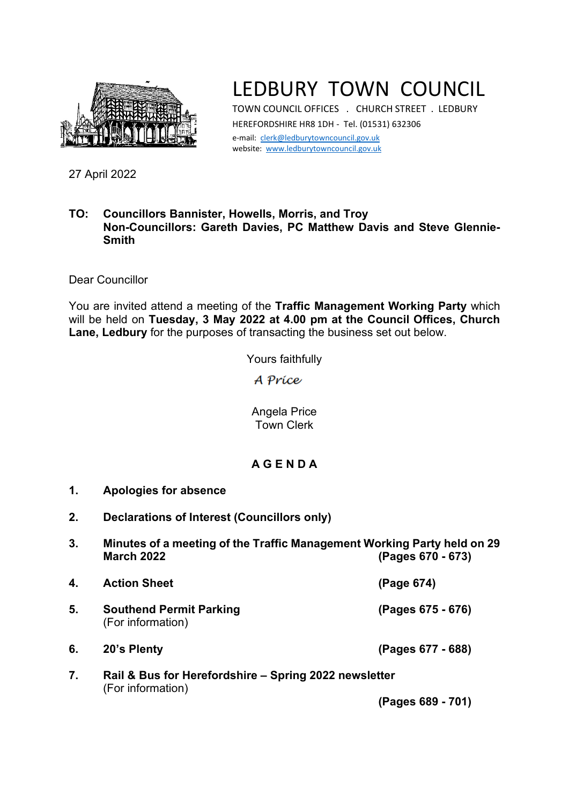

## LEDBURY TOWN COUNCIL

TOWN COUNCIL OFFICES . CHURCH STREET . LEDBURY HEREFORDSHIRE HR8 1DH - Tel. (01531) 632306 e-mail: [clerk@ledburytowncouncil.gov.uk](mailto:clerk@ledburytowncouncil.gov.uk) website: [www.ledburytowncouncil.gov.uk](http://www.ledburytowncouncil.gov.uk/)

27 April 2022

## **TO: Councillors Bannister, Howells, Morris, and Troy Non-Councillors: Gareth Davies, PC Matthew Davis and Steve Glennie-Smith**

Dear Councillor

You are invited attend a meeting of the **Traffic Management Working Party** which will be held on **Tuesday, 3 May 2022 at 4.00 pm at the Council Offices, Church Lane, Ledbury** for the purposes of transacting the business set out below.

Yours faithfully

A Príce

Angela Price Town Clerk

## **A G E N D A**

- **1. Apologies for absence**
- **2. Declarations of Interest (Councillors only)**
- **3. Minutes of a meeting of the Traffic Management Working Party held on 29 March 2022 (Pages 670 - 673)**

| 4. | <b>Action Sheet</b>                                                        | (Page 674)        |
|----|----------------------------------------------------------------------------|-------------------|
| 5. | <b>Southend Permit Parking</b><br>(For information)                        | (Pages 675 - 676) |
| 6. | 20's Plenty                                                                | (Pages 677 - 688) |
| 7. | Rail & Bus for Herefordshire - Spring 2022 newsletter<br>(For information) |                   |

**(Pages 689 - 701)**